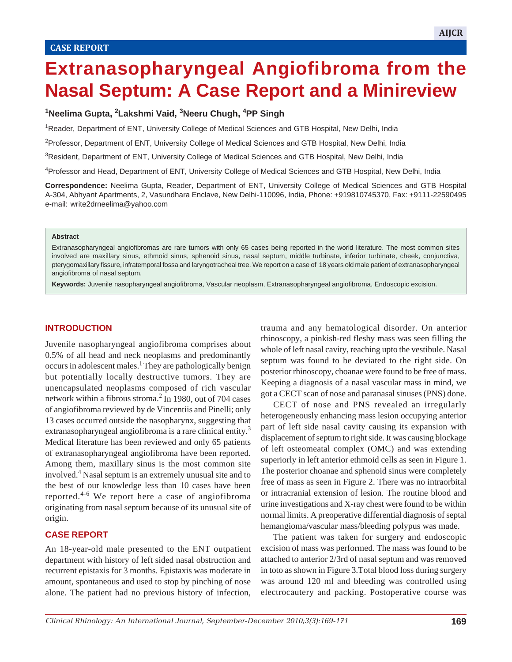# **Extranasopharyngeal Angiofibroma from the Nasal Septum: A Case Report and a Minireview**

 $\mathbb{E}_{\mathbf{z}}$  angiofibroma from the Nasal Septum: A Case Report and a Minireview  $\mathbb{E}_{\mathbf{z}}$ 

## **1Neelima Gupta, 2Lakshmi Vaid, 3Neeru Chugh, 4PP Singh**

<sup>1</sup>Reader, Department of ENT, University College of Medical Sciences and GTB Hospital, New Delhi, India

<sup>2</sup> Professor, Department of ENT, University College of Medical Sciences and GTB Hospital, New Delhi, India

<sup>3</sup>Resident, Department of ENT, University College of Medical Sciences and GTB Hospital, New Delhi, India

4Professor and Head, Department of ENT, University College of Medical Sciences and GTB Hospital, New Delhi, India

**Correspondence:** Neelima Gupta, Reader, Department of ENT, University College of Medical Sciences and GTB Hospital A-304, Abhyant Apartments, 2, Vasundhara Enclave, New Delhi-110096, India, Phone: +919810745370, Fax: +9111-22590495 e-mail: write2drneelima@yahoo.com

#### **Abstract**

Extranasopharyngeal angiofibromas are rare tumors with only 65 cases being reported in the world literature. The most common sites involved are maxillary sinus, ethmoid sinus, sphenoid sinus, nasal septum, middle turbinate, inferior turbinate, cheek, conjunctiva, pterygomaxillary fissure, infratemporal fossa and laryngotracheal tree. We report on a case of 18 years old male patient of extranasopharyngeal angiofibroma of nasal septum.

**Keywords:** Juvenile nasopharyngeal angiofibroma, Vascular neoplasm, Extranasopharyngeal angiofibroma, Endoscopic excision.

#### **INTRODUCTION**

Juvenile nasopharyngeal angiofibroma comprises about 0.5% of all head and neck neoplasms and predominantly occurs in adolescent males.<sup>1</sup> They are pathologically benign but potentially locally destructive tumors. They are unencapsulated neoplasms composed of rich vascular network within a fibrous stroma.<sup>2</sup> In 1980, out of 704 cases of angiofibroma reviewed by de Vincentiis and Pinelli; only 13 cases occurred outside the nasopharynx, suggesting that extranasopharyngeal angiofibroma is a rare clinical entity.<sup>3</sup> Medical literature has been reviewed and only 65 patients of extranasopharyngeal angiofibroma have been reported. Among them, maxillary sinus is the most common site involved.4 Nasal septum is an extremely unusual site and to the best of our knowledge less than 10 cases have been reported.4-6 We report here a case of angiofibroma originating from nasal septum because of its unusual site of origin.

## **CASE REPORT**

An 18-year-old male presented to the ENT outpatient department with history of left sided nasal obstruction and recurrent epistaxis for 3 months. Epistaxis was moderate in amount, spontaneous and used to stop by pinching of nose alone. The patient had no previous history of infection,

trauma and any hematological disorder. On anterior rhinoscopy, a pinkish-red fleshy mass was seen filling the whole of left nasal cavity, reaching upto the vestibule. Nasal septum was found to be deviated to the right side. On posterior rhinoscopy, choanae were found to be free of mass. Keeping a diagnosis of a nasal vascular mass in mind, we got a CECT scan of nose and paranasal sinuses (PNS) done.

CECT of nose and PNS revealed an irregularly heterogeneously enhancing mass lesion occupying anterior part of left side nasal cavity causing its expansion with displacement of septum to right side. It was causing blockage of left osteomeatal complex (OMC) and was extending superiorly in left anterior ethmoid cells as seen in Figure 1. The posterior choanae and sphenoid sinus were completely free of mass as seen in Figure 2. There was no intraorbital or intracranial extension of lesion. The routine blood and urine investigations and X-ray chest were found to be within normal limits. A preoperative differential diagnosis of septal hemangioma/vascular mass/bleeding polypus was made.

The patient was taken for surgery and endoscopic excision of mass was performed. The mass was found to be attached to anterior 2/3rd of nasal septum and was removed in toto as shown in Figure 3.Total blood loss during surgery was around 120 ml and bleeding was controlled using electrocautery and packing. Postoperative course was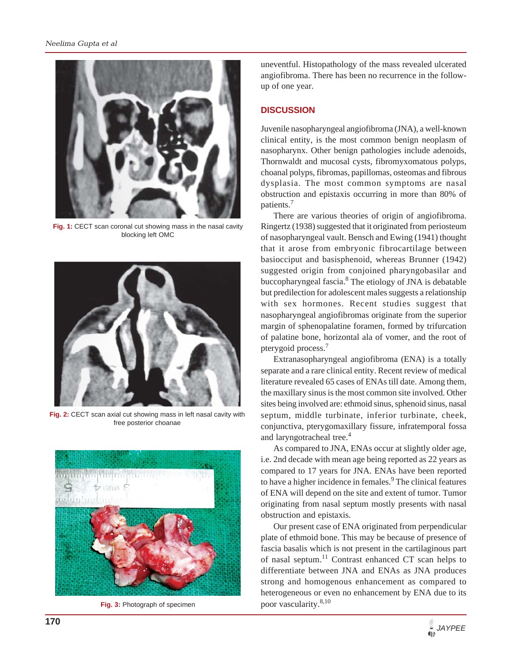

**Fig. 1:** CECT scan coronal cut showing mass in the nasal cavity blocking left OMC



**Fig. 2:** CECT scan axial cut showing mass in left nasal cavity with free posterior choanae



**Fig. 3:** Photograph of specimen

uneventful. Histopathology of the mass revealed ulcerated angiofibroma. There has been no recurrence in the followup of one year.

## **DISCUSSION**

Juvenile nasopharyngeal angiofibroma (JNA), a well-known clinical entity, is the most common benign neoplasm of nasopharynx. Other benign pathologies include adenoids, Thornwaldt and mucosal cysts, fibromyxomatous polyps, choanal polyps, fibromas, papillomas, osteomas and fibrous dysplasia. The most common symptoms are nasal obstruction and epistaxis occurring in more than 80% of patients.7

There are various theories of origin of angiofibroma. Ringertz (1938) suggested that it originated from periosteum of nasopharyngeal vault. Bensch and Ewing (1941) thought that it arose from embryonic fibrocartilage between basiocciput and basisphenoid, whereas Brunner (1942) suggested origin from conjoined pharyngobasilar and buccopharyngeal fascia.<sup>8</sup> The etiology of JNA is debatable but predilection for adolescent males suggests a relationship with sex hormones. Recent studies suggest that nasopharyngeal angiofibromas originate from the superior margin of sphenopalatine foramen, formed by trifurcation of palatine bone, horizontal ala of vomer, and the root of pterygoid process.7

Extranasopharyngeal angiofibroma (ENA) is a totally separate and a rare clinical entity. Recent review of medical literature revealed 65 cases of ENAs till date. Among them, the maxillary sinus is the most common site involved. Other sites being involved are: ethmoid sinus, sphenoid sinus, nasal septum, middle turbinate, inferior turbinate, cheek, conjunctiva, pterygomaxillary fissure, infratemporal fossa and laryngotracheal tree.<sup>4</sup>

As compared to JNA, ENAs occur at slightly older age, i.e. 2nd decade with mean age being reported as 22 years as compared to 17 years for JNA. ENAs have been reported to have a higher incidence in females.<sup>9</sup> The clinical features of ENA will depend on the site and extent of tumor. Tumor originating from nasal septum mostly presents with nasal obstruction and epistaxis.

Our present case of ENA originated from perpendicular plate of ethmoid bone. This may be because of presence of fascia basalis which is not present in the cartilaginous part of nasal septum.<sup>11</sup> Contrast enhanced CT scan helps to differentiate between JNA and ENAs as JNA produces strong and homogenous enhancement as compared to heterogeneous or even no enhancement by ENA due to its poor vascularity.8,10